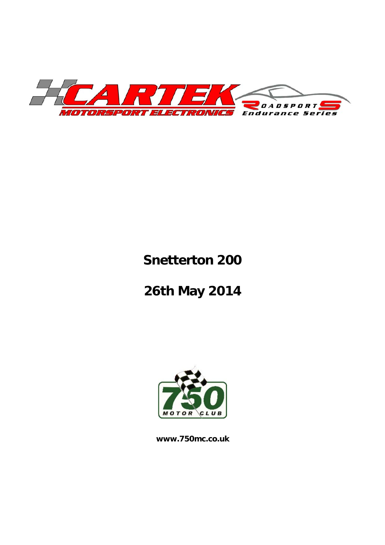

# **Snetterton 200**

# **26th May 2014**



**www.750mc.co.uk**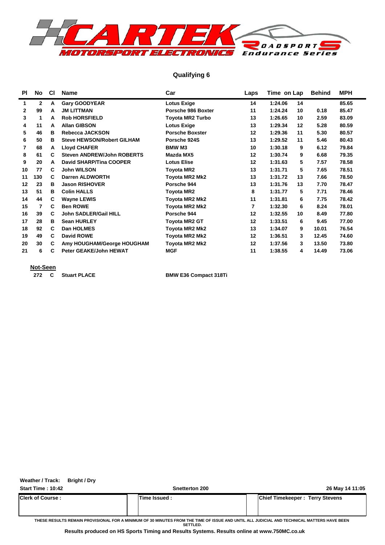

#### **Qualifying 6**

| <b>PI</b>    | No           | <b>CI</b> | <b>Name</b>                       | Car                    | Laps | Time on Lap |    | <b>Behind</b> | <b>MPH</b> |  |
|--------------|--------------|-----------|-----------------------------------|------------------------|------|-------------|----|---------------|------------|--|
| 1            | $\mathbf{2}$ | A         | <b>Gary GOODYEAR</b>              | <b>Lotus Exige</b>     | 14   | 1:24.06     | 14 |               | 85.65      |  |
| $\mathbf{2}$ | 99           | A         | <b>JM LITTMAN</b>                 | Porsche 986 Boxter     | 11   | 1:24.24     | 10 | 0.18          | 85.47      |  |
| 3            | 1            | A         | <b>Rob HORSFIELD</b>              | Toyota MR2 Turbo       | 13   | 1:26.65     | 10 | 2.59          | 83.09      |  |
| 4            | 11           | A         | <b>Allan GIBSON</b>               | <b>Lotus Exige</b>     | 13   | 1:29.34     | 12 | 5.28          | 80.59      |  |
| 5            | 46           | в         | Rebecca JACKSON                   | <b>Porsche Boxster</b> | 12   | 1:29.36     | 11 | 5.30          | 80.57      |  |
| 6            | 50           | в         | <b>Steve HEWSON/Robert GILHAM</b> | Porsche 924S           | 13   | 1:29.52     | 11 | 5.46          | 80.43      |  |
| 7            | 68           | A         | <b>Lloyd CHAFER</b>               | <b>BMW M3</b>          | 10   | 1:30.18     | 9  | 6.12          | 79.84      |  |
| 8            | 61           | C         | <b>Steven ANDREW/John ROBERTS</b> | Mazda MX5              | 12   | 1:30.74     | 9  | 6.68          | 79.35      |  |
| 9            | 20           | А         | <b>David SHARP/Tina COOPER</b>    | <b>Lotus Elise</b>     | 12   | 1:31.63     | 5  | 7.57          | 78.58      |  |
| 10           | 77           | C         | <b>John WILSON</b>                | Toyota MR2             | 13   | 1:31.71     | 5  | 7.65          | 78.51      |  |
| 11           | 130          | C         | Darren ALDWORTH                   | Toyota MR2 Mk2         | 13   | 1:31.72     | 13 | 7.66          | 78.50      |  |
| 12           | 23           | в         | <b>Jason RISHOVER</b>             | Porsche 944            | 13   | 1:31.76     | 13 | 7.70          | 78.47      |  |
| 13           | 51           | в         | <b>Colin HALLS</b>                | Toyota MR2             | 8    | 1:31.77     | 5  | 7.71          | 78.46      |  |
| 14           | 44           | C         | <b>Wayne LEWIS</b>                | Toyota MR2 Mk2         | 11   | 1:31.81     | 6  | 7.75          | 78.42      |  |
| 15           | 7            | C         | <b>Ben ROWE</b>                   | Toyota MR2 Mk2         | 7    | 1:32.30     | 6  | 8.24          | 78.01      |  |
| 16           | 39           | C         | <b>John SADLER/Gail HILL</b>      | Porsche 944            | 12   | 1:32.55     | 10 | 8.49          | 77.80      |  |
| 17           | 28           | в         | <b>Sean HURLEY</b>                | Toyota MR2 GT          | 12   | 1:33.51     | 6  | 9.45          | 77.00      |  |
| 18           | 92           | C         | <b>Dan HOLMES</b>                 | Toyota MR2 Mk2         | 13   | 1:34.07     | 9  | 10.01         | 76.54      |  |
| 19           | 49           | C         | <b>David ROWE</b>                 | Toyota MR2 Mk2         | 12   | 1:36.51     | 3  | 12.45         | 74.60      |  |
| 20           | 30           | C         | Amy HOUGHAM/George HOUGHAM        | Toyota MR2 Mk2         | 12   | 1:37.56     | 3  | 13.50         | 73.80      |  |
| 21           | 6            | C         | <b>Peter GEAKE/John HEWAT</b>     | <b>MGF</b>             | 11   | 1:38.55     | 4  | 14.49         | 73.06      |  |
|              |              |           |                                   |                        |      |             |    |               |            |  |

#### **Not-Seen**

**272 C** Stuart PLACE BMW E36 Compact 318Ti

**Weather / Track: Bright / Dry**

**Start Time : 10:42 Snetterton 200 26 May 14 11:05**

**Clerk of Course : Time Issued : Chief Timekeeper : Terry Stevens**

**THESE RESULTS REMAIN PROVISIONAL FOR A MINIMUM OF 30 MINUTES FROM THE TIME OF ISSUE AND UNTIL ALL JUDICIAL AND TECHNICAL MATTERS HAVE BEEN SETTLED.**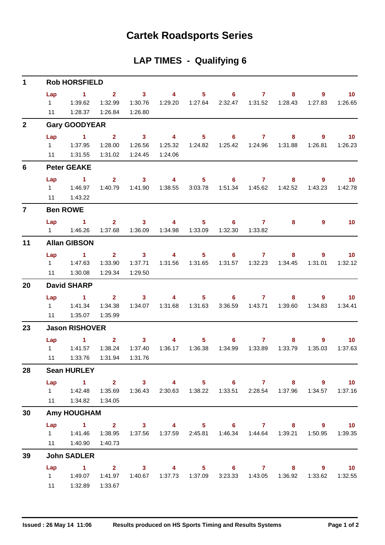## **Cartek Roadsports Series**

### **LAP TIMES - Qualifying 6**

| $\mathbf 1$    |                             | <b>Rob HORSFIELD</b>                                                                                                                           |                                   |                                                  |                                             |                |                            |                                    |                                                                        |                           |                            |
|----------------|-----------------------------|------------------------------------------------------------------------------------------------------------------------------------------------|-----------------------------------|--------------------------------------------------|---------------------------------------------|----------------|----------------------------|------------------------------------|------------------------------------------------------------------------|---------------------------|----------------------------|
|                | Lap<br>$1 \quad \Box$<br>11 | $\sim$ 1<br>1:39.62<br>1:28.37                                                                                                                 | 1:32.99<br>1:26.84                | $2 \t 3$<br>1:30.76<br>1:26.80                   | $\overline{\mathbf{4}}$<br>1:29.20          | 1:27.64        | $5 \t\t 6 \t\t 7$          | 2:32.47  1:31.52                   | 8<br>1:28.43                                                           | 9<br>1:27.83              | 10<br>1:26.65              |
| $\overline{2}$ |                             | <b>Gary GOODYEAR</b>                                                                                                                           |                                   |                                                  |                                             |                |                            |                                    |                                                                        |                           |                            |
|                | Lap                         | $\sim$ 1<br>11   1:31.55                                                                                                                       | $2^{\circ}$<br>1:28.00<br>1:31.02 | $\overline{\phantom{a}}$ 3<br>1:26.56<br>1:24.45 | $\overline{4}$<br>1:24.06                   | 5 <sub>1</sub> | 6                          | $\overline{7}$<br>1:25.42  1:24.96 | 8<br>1:31.88                                                           | $\overline{9}$<br>1:26.81 | 10<br>1:26.23              |
| 6              |                             | <b>Peter GEAKE</b>                                                                                                                             |                                   |                                                  |                                             |                |                            |                                    |                                                                        |                           |                            |
|                | Lap<br>11                   | $\sim$ 1<br>1:43.22                                                                                                                            | $2^{\circ}$<br>1:40.79            | $\overline{\mathbf{3}}$<br>1:41.90               | $\overline{\mathbf{4}}$<br>1:38.55          | 3:03.78        | $5 \t\t 6 \t\t 7$          |                                    | 8<br>1:42.52                                                           | 9<br>1:43.23              | $\overline{10}$<br>1:42.78 |
| $\overline{7}$ |                             | <b>Ben ROWE</b>                                                                                                                                |                                   |                                                  |                                             |                |                            |                                    |                                                                        |                           |                            |
|                | Lap                         | $\sim$ 1                                                                                                                                       | $2^{\circ}$                       | 3 <sup>1</sup><br>1:37.68  1:36.09               | $\overline{\mathbf{4}}$<br>1:34.98  1:33.09 | $5 -$          | 6<br>1:32.30               | $\mathbf{7}$<br>1:33.82            | 8                                                                      | 9                         | 10                         |
| 11             |                             | <b>Allan GIBSON</b>                                                                                                                            |                                   |                                                  |                                             |                |                            |                                    |                                                                        |                           |                            |
|                | Lap<br>11                   | $\sim$ 1<br>1:30.08                                                                                                                            | 1:33.90<br>1:29.34                | $2 \t 3$<br>1:37.71<br>1:29.50                   | $\overline{4}$                              | 5 <sub>1</sub> | $6 \qquad \qquad 7$        |                                    | 8<br>1:34.45                                                           | $9^{\circ}$<br>1:31.01    | 10<br>1:32.12              |
| 20             |                             | <b>David SHARP</b>                                                                                                                             |                                   |                                                  |                                             |                |                            |                                    |                                                                        |                           |                            |
|                | Lap<br>11                   | $\sim$ 1<br>1 1:41.34<br>1:35.07                                                                                                               | 1:34.38<br>1:35.99                | $2 \t 3$                                         | $\overline{4}$<br>1:34.07  1:31.68  1:31.63 |                | $5 \t\t 6 \t\t 7$          | 3:36.59  1:43.71                   | 8<br>1:39.60                                                           | 9<br>1:34.83              | $\overline{10}$<br>1:34.41 |
| 23             |                             | <b>Jason RISHOVER</b>                                                                                                                          |                                   |                                                  |                                             |                |                            |                                    |                                                                        |                           |                            |
|                | Lap<br>11                   | $\sim$ $\sim$ $\sim$ $\sim$ $\sim$<br>1 1:41.57<br>1:33.76                                                                                     | $2^{\circ}$<br>1:38.24<br>1:31.94 | 3 <sup>1</sup><br>1:37.40<br>1:31.76             | $\overline{4}$                              | 5 <sub>1</sub> | $\overline{\phantom{a}}$ 6 | $\mathbf{7}$                       | 8<br>1:33.79                                                           | $9^{\circ}$<br>1:35.03    | 10<br>1:37.63              |
| 28             |                             | <b>Sean HURLEY</b>                                                                                                                             |                                   |                                                  |                                             |                |                            |                                    |                                                                        |                           |                            |
|                | Lap                         | $1 \t 2 \t 3$<br>1   1:42.48   1:35.69   1:36.43   2:30.63   1:38.22   1:33.51   2:28.54   1:37.96   1:34.57   1:37.16<br>11  1:34.82  1:34.05 |                                   |                                                  |                                             |                | 4 5 6 7                    |                                    |                                                                        | 9                         | 10                         |
| 30             |                             | <b>Amy HOUGHAM</b>                                                                                                                             |                                   |                                                  |                                             |                |                            |                                    |                                                                        |                           |                            |
|                | Lap                         | 1 2 3 4 5 6 7 8 9 10<br>1   1:41.46<br>11  1:40.90  1:40.73                                                                                    | 1:38.95                           |                                                  |                                             |                |                            |                                    | 1:37.56  1:37.59  2:45.81  1:46.34  1:44.64  1:39.21  1:50.95  1:39.35 |                           |                            |
| 39             |                             | <b>John SADLER</b>                                                                                                                             |                                   |                                                  |                                             |                |                            |                                    |                                                                        |                           |                            |
|                | Lap<br>11                   | $1 \t 2 \t 3$<br>1   1:49.07   1:41.97   1:40.67   1:37.73   1:37.09   3:23.33   1:43.05   1:36.92   1:33.62   1:32.55<br>1:32.89              | 1:33.67                           |                                                  |                                             |                | 4 5 6 7                    |                                    |                                                                        | 9<br>$8 - 1$              | $\overline{10}$            |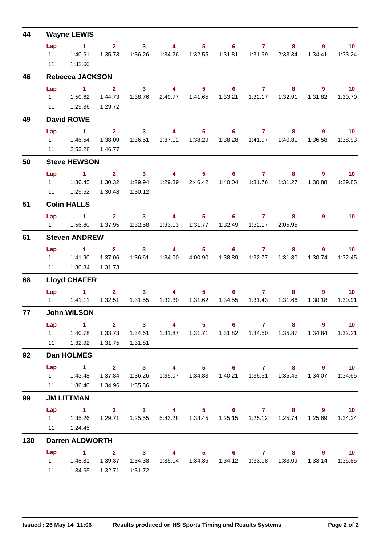| 44  |                             | <b>Wayne LEWIS</b>                                                                                                                                                                                        |                                      |                                               |                                    |                           |                                       |                              |                                                                                                       |                           |                            |
|-----|-----------------------------|-----------------------------------------------------------------------------------------------------------------------------------------------------------------------------------------------------------|--------------------------------------|-----------------------------------------------|------------------------------------|---------------------------|---------------------------------------|------------------------------|-------------------------------------------------------------------------------------------------------|---------------------------|----------------------------|
|     | Lap<br>$1 \quad \Box$<br>11 | $\sim$ 1<br>1:40.61<br>1:32.60                                                                                                                                                                            | $\overline{\mathbf{2}}$<br>1:35.73   | $\overline{\mathbf{3}}$<br>1:36.26            | $\overline{\mathbf{4}}$<br>1:34.26 | $5 -$<br>1:32.55          | $\overline{\phantom{a}}$ 6<br>1:31.81 | $\overline{7}$<br>1:31.99    | 8<br>2:33.34                                                                                          | $9^{\circ}$<br>1:34.41    | 10<br>1:33.24              |
| 46  |                             | <b>Rebecca JACKSON</b>                                                                                                                                                                                    |                                      |                                               |                                    |                           |                                       |                              |                                                                                                       |                           |                            |
|     | Lap<br>$1 \quad$            | $\sim$ 1<br>1:50.62<br>11  1:29.36                                                                                                                                                                        | $\mathbf{2}$<br>1:44.73<br>1:29.72   | 3 <sup>7</sup><br>1:38.76                     | $\overline{4}$<br>2:49.77          | 5 <sub>1</sub><br>1:41.65 | 6<br>1:33.21                          | $\overline{7}$<br>1:32.17    | 8<br>1:32.91                                                                                          | $\overline{9}$<br>1:31.82 | 10<br>1:30.70              |
| 49  |                             | <b>David ROWE</b>                                                                                                                                                                                         |                                      |                                               |                                    |                           |                                       |                              |                                                                                                       |                           |                            |
|     | Lap<br>$1 \quad \Box$<br>11 | $\sim$ 1<br>1:46.54<br>2:53.28                                                                                                                                                                            | $\mathbf{2}$<br>1:38.09<br>1:46.77   | $\overline{\mathbf{3}}$<br>1:36.51            | $\overline{4}$<br>1:37.12          | 5 <sub>1</sub><br>1:38.29 |                                       | 67                           | 8<br>1:40.81                                                                                          | $9^{\circ}$<br>1:36.58    | 10<br>1:38.93              |
| 50  |                             | <b>Steve HEWSON</b>                                                                                                                                                                                       |                                      |                                               |                                    |                           |                                       |                              |                                                                                                       |                           |                            |
|     | Lap<br>$1 \quad$            | $\sim$ 1<br>1:36.45<br>11   1:29.52                                                                                                                                                                       | $2^{\circ}$<br>1:30.32<br>1:30.48    | $\overline{\mathbf{3}}$<br>1:29.94<br>1:30.12 | $\overline{4}$<br>1:29.89          | 5 <sub>1</sub><br>2:46.42 | $6 -$<br>1:40.04                      | $\mathbf{7}$<br>1:31.76      | 8<br>1:31.27                                                                                          | $9^{\circ}$<br>1:30.88    | 10 <sub>1</sub><br>1:29.85 |
| 51  |                             | <b>Colin HALLS</b>                                                                                                                                                                                        |                                      |                                               |                                    |                           |                                       |                              |                                                                                                       |                           |                            |
|     | Lap<br>$1 \quad \Box$       | $\sim$ 1<br>1:56.80                                                                                                                                                                                       | 1:37.95                              | $2 \t 3 \t 4$<br>1:32.58                      | 1:33.13                            | 1:31.77                   | 1:32.49                               | $5 \t\t 6 \t\t 7$<br>1:32.17 | 8<br>2:05.95                                                                                          | $9^{\circ}$               | 10                         |
| 61  |                             | <b>Steven ANDREW</b>                                                                                                                                                                                      |                                      |                                               |                                    |                           |                                       |                              |                                                                                                       |                           |                            |
|     | Lap<br>$1 \quad$<br>11      | $\sim$ 1<br>1:41.90<br>1:30.84                                                                                                                                                                            | $\overline{2}$<br>1:37.06<br>1:31.73 | 3 <sup>1</sup><br>1:36.61                     | $\overline{4}$<br>1:34.00          | 4:00.90                   | $5^{\circ}$<br>$6 -$<br>1:38.89       | $\mathbf{7}$<br>1:32.77      | 8<br>1:31.30                                                                                          | 9<br>1:30.74              | 10 <sup>°</sup><br>1:32.45 |
| 68  |                             | <b>Lloyd CHAFER</b>                                                                                                                                                                                       |                                      |                                               |                                    |                           |                                       |                              |                                                                                                       |                           |                            |
|     | Lap<br>$1 \quad \Box$       | $\blacktriangleleft$<br>1:41.11                                                                                                                                                                           | $\overline{2}$<br>1:32.51            | 3 <sup>1</sup><br>1:31.55                     | $\overline{4}$<br>1:32.30          | $5 -$<br>1:31.62          | $6 -$<br>1:34.55                      | $\mathbf{7}$<br>1:31.43      | 8<br>1:31.66                                                                                          | $\overline{9}$<br>1:30.18 | 10 <sub>1</sub><br>1:30.91 |
| 77  |                             | <b>John WILSON</b>                                                                                                                                                                                        |                                      |                                               |                                    |                           |                                       |                              |                                                                                                       |                           |                            |
|     | Lap                         | $\sim$ $\sim$ 1.<br>11   1:32.92                                                                                                                                                                          | 1:31.75                              | $2 \qquad 3 \qquad 4$<br>1:31.81              |                                    |                           |                                       | $5 \t\t 6 \t\t 7$            | 1:31.87  1:31.71  1:31.82  1:34.50  1:35.87  1:34.84  1:32.21                                         | 8 9 10                    |                            |
| 92  |                             | Dan HOLMES                                                                                                                                                                                                |                                      |                                               |                                    |                           |                                       |                              |                                                                                                       |                           |                            |
|     | Lap                         | $\sim$ $\sim$ 1<br>$1 \t 1:43.48$<br>11  1:36.40                                                                                                                                                          | 1:34.96                              | 1:35.86                                       |                                    |                           |                                       |                              | 2 3 4 5 6 7 8 9 10<br>1:37.84  1:36.26  1:35.07  1:34.83  1:40.21  1:35.51  1:35.45  1:34.07  1:34.65 |                           |                            |
| 99  |                             | <b>JM LITTMAN</b>                                                                                                                                                                                         |                                      |                                               |                                    |                           |                                       |                              |                                                                                                       |                           |                            |
|     |                             | Lap 1 2 3 4 5 6 7 8 9 10<br>1    1:35.26    1:29.71    1:25.55    5:43.28    1:33.45    1:25.15    1:25.12    1:25.74    1:25.69    1:24.24<br>11   1:24.45                                               |                                      |                                               |                                    |                           |                                       |                              |                                                                                                       |                           |                            |
| 130 |                             | <b>Darren ALDWORTH</b>                                                                                                                                                                                    |                                      |                                               |                                    |                           |                                       |                              |                                                                                                       |                           |                            |
|     | Lap                         | 1 2 3 4 5 6 7 8 9 10<br>$1.34.81 \qquad 1:39.37 \qquad 1:34.38 \qquad 1:35.14 \qquad 1:34.36 \qquad 1:34.12 \qquad 1:33.08 \qquad 1:33.09 \qquad 1:33.14 \qquad 1:36.85$<br>11  1:34.65  1:32.71  1:31.72 |                                      |                                               |                                    |                           |                                       |                              |                                                                                                       |                           |                            |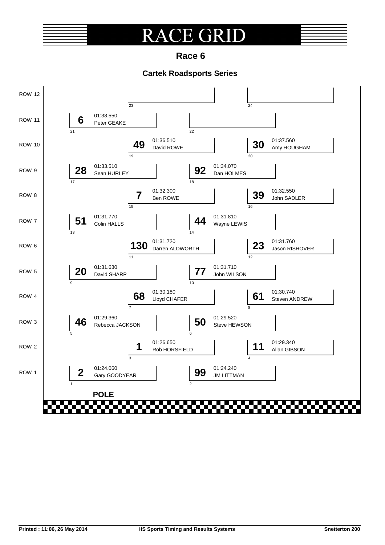### **E GRI**  $\overline{\mathsf{R}}$

**Race 6**

### **Cartek Roadsports Series**

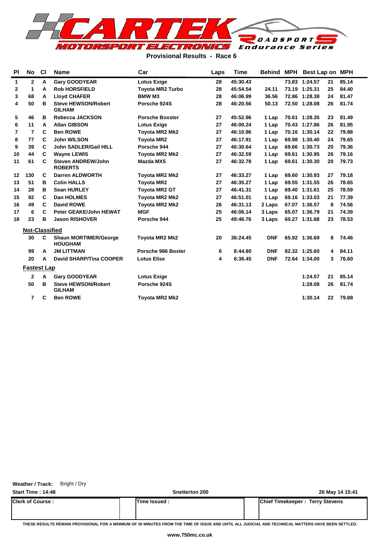

#### **Provisional Results - Race 6**

| <b>PI</b> | No                    | <b>CI</b> | <b>Name</b>                                    | Car                     | Laps | <b>Time</b> | Behind     | <b>MPH</b> | Best Lap on MPH |    |       |
|-----------|-----------------------|-----------|------------------------------------------------|-------------------------|------|-------------|------------|------------|-----------------|----|-------|
| 1         | $\mathbf{2}$          | А         | <b>Gary GOODYEAR</b>                           | <b>Lotus Exige</b>      | 28   | 45:30.43    |            |            | 73.83 1:24.57   | 21 | 85.14 |
| 2         | 1                     | A         | <b>Rob HORSFIELD</b>                           | <b>Toyota MR2 Turbo</b> | 28   | 45:54.54    | 24.11      |            | 73.19 1:25.31   | 25 | 84.40 |
| 3         | 68                    | A         | <b>Lloyd CHAFER</b>                            | <b>BMW M3</b>           | 28   | 46:06.99    | 36.56      |            | 72.86 1:28.38   | 24 | 81.47 |
| 4         | 50                    | в         | <b>Steve HEWSON/Robert</b><br><b>GILHAM</b>    | Porsche 924S            | 28   | 46:20.56    | 50.13      |            | 72.50 1:28.08   | 26 | 81.74 |
| 5         | 46                    | в         | <b>Rebecca JACKSON</b>                         | <b>Porsche Boxster</b>  | 27   | 45:52.96    | 1 Lap      |            | 70.61 1:28.35   | 23 | 81.49 |
| 6         | 11                    | A         | <b>Allan GIBSON</b>                            | <b>Lotus Exige</b>      | 27   | 46:00.24    | 1 Lap      |            | 70.43 1:27.86   | 26 | 81.95 |
| 7         | $\overline{7}$        | C         | <b>Ben ROWE</b>                                | Toyota MR2 Mk2          | 27   | 46:10.96    | 1 Lap      |            | 70.16 1:30.14   | 22 | 79.88 |
| 8         | 77                    | C         | <b>John WILSON</b>                             | <b>Toyota MR2</b>       | 27   | 46:17.91    | 1 Lap      |            | 69.98 1:30.40   | 24 | 79.65 |
| 9         | 39                    | C         | <b>John SADLER/Gail HILL</b>                   | Porsche 944             | 27   | 46:30.64    | 1 Lap      |            | 69.66 1:30.73   | 20 | 79.36 |
| 10        | 44                    | C         | <b>Wayne LEWIS</b>                             | Toyota MR2 Mk2          | 27   | 46:32.59    | 1 Lap      | 69.61      | 1:30.95         | 26 | 79.16 |
| 11        | 61                    | C         | <b>Steven ANDREW/John</b><br><b>ROBERTS</b>    | Mazda MX5               | 27   | 46:32.78    | 1 Lap      | 69.61      | 1:30.30         | 20 | 79.73 |
| $12 \,$   | 130                   | C         | <b>Darren ALDWORTH</b>                         | Toyota MR2 Mk2          | 27   | 46:33.27    | 1 Lap      |            | 69.60 1:30.93   | 27 | 79.18 |
| 13        | 51                    | в         | <b>Colin HALLS</b>                             | <b>Toyota MR2</b>       | 27   | 46:35.27    | 1 Lap      |            | 69.55 1:31.55   | 26 | 78.65 |
| 14        | 28                    | в         | <b>Sean HURLEY</b>                             | <b>Toyota MR2 GT</b>    | 27   | 46:41.31    | 1 Lap      |            | 69.40 1:31.61   | 25 | 78.59 |
| 15        | 92                    | C         | <b>Dan HOLMES</b>                              | <b>Toyota MR2 Mk2</b>   | 27   | 46:51.01    | 1 Lap      |            | 69.16 1:33.03   | 21 | 77.39 |
| 16        | 49                    | C         | <b>David ROWE</b>                              | <b>Toyota MR2 Mk2</b>   | 26   | 46:31.13    | 2 Laps     |            | 67.07 1:36.57   | 8  | 74.56 |
| 17        | 6                     | C         | <b>Peter GEAKE/John HEWAT</b>                  | <b>MGF</b>              | 25   | 46:06.14    | 3 Laps     |            | 65.07 1:36.79   | 21 | 74.39 |
| 18        | 23                    | в         | <b>Jason RISHOVER</b>                          | Porsche 944             | 25   | 49:46.76    | 3 Laps     |            | 60.27 1:31.68   | 23 | 78.53 |
|           | <b>Not-Classified</b> |           |                                                |                         |      |             |            |            |                 |    |       |
|           | 30                    | C         | <b>Shaun MORTIMER/George</b><br><b>HOUGHAM</b> | Toyota MR2 Mk2          | 20   | 36:24.45    | <b>DNF</b> |            | 65.92 1:36.69   | 8  | 74.46 |
|           | 99                    | A         | <b>JM LITTMAN</b>                              | Porsche 986 Boxter      | 6    | 8:44.80     | <b>DNF</b> |            | 82.32 1:25.60   | 4  | 84.11 |
|           | 20                    | A         | <b>David SHARP/Tina COOPER</b>                 | <b>Lotus Elise</b>      | 4    | 6:36.45     | <b>DNF</b> |            | 72.64 1:34.00   | 3  | 76.60 |
|           | <b>Fastest Lap</b>    |           |                                                |                         |      |             |            |            |                 |    |       |
|           | $\mathbf{2}$          | A         | <b>Gary GOODYEAR</b>                           | <b>Lotus Exige</b>      |      |             |            |            | 1:24.57         | 21 | 85.14 |
|           | 50                    | в         | <b>Steve HEWSON/Robert</b><br><b>GILHAM</b>    | Porsche 924S            |      |             |            |            | 1:28.08         | 26 | 81.74 |
|           | 7                     | C         | <b>Ben ROWE</b>                                | Toyota MR2 Mk2          |      |             |            |            | 1:30.14         | 22 | 79.88 |

Weather / Track: Bright / Dry

**Start Time : 14:48 Snetterton 200 26 May 14 15:41**

| <b>Clerk of Course:</b> | Time Issued | Chief Timekeeper:<br>Terry Stevens |
|-------------------------|-------------|------------------------------------|
|                         |             |                                    |
|                         |             |                                    |

**THESE RESULTS REMAIN PROVISIONAL FOR A MINIMUM OF 30 MINUTES FROM THE TIME OF ISSUE AND UNTIL ALL JUDICIAL AND TECHNICAL MATTERS HAVE BEEN SETTLED.**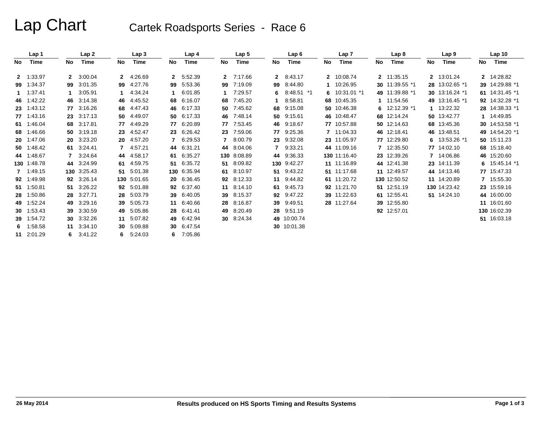# Lap Chart Cartek Roadsports Series - Race 6

|     | Lap 1       |    | Lap 2             |              | Lap 3       |    | Lap 4       |              | Lap 5       |              | Lap 6       |    | Lap 7          |    | Lap <sub>8</sub> |    | Lap <sub>9</sub> |    | Lap <sub>10</sub> |
|-----|-------------|----|-------------------|--------------|-------------|----|-------------|--------------|-------------|--------------|-------------|----|----------------|----|------------------|----|------------------|----|-------------------|
| No. | Time        | No | Time              | No           | Time        | No | Time        | No.          | Time        | No           | Time        | No | Time           | No | Time             | No | Time             | No | Time              |
|     | 2 1:33.97   |    | 2 3:00.04         | $\mathbf{2}$ | 4:26.69     |    | 2 5:52.39   |              | 2 7:17.66   | $\mathbf{2}$ | 8:43.17     |    | 2 10:08.74     |    | 2 11:35.15       |    | 2 13:01.24       |    | 2 14:28.82        |
|     | 99 1:34.37  | 99 | 3:01.35           | 99           | 4:27.76     | 99 | 5:53.36     | 99           | 7:19.09     | 99           | 8:44.80     |    | 10:26.95       |    | 30 11:39.55 *1   |    | 28 13:02.65 *1   |    | 39 14:29.88 *1    |
|     | 1.37.41     |    | 3:05.91           |              | 4:34.24     | 1  | 6:01.85     | $\mathbf 1$  | 7:29.57     | 6            | 8:48.51 *1  |    | 6 $10:31.01*1$ |    | 49 11:39.88 *1   |    | 30 13:16.24 *1   |    | 61 14:31.45 *1    |
|     | 46 1:42.22  |    | 46 3:14.38        |              | 46 4:45.52  | 68 | 6:16.07     | 68           | 7:45.20     |              | 8:58.81     |    | 68 10:45.35    |    | 1 11:54.56       |    | 49 13:16.45 *1   |    | 92 14:32.28 *1    |
|     | 23 1:43.12  |    | 77 3:16.26        |              | 68 4:47.43  | 46 | 6:17.33     |              | 50 7:45.62  | 68           | 9:15.08     |    | 50 10:46.38    |    | 6 $12:12.39$ *1  |    | 1 13:22.32       |    | 28 14:38.33 *1    |
|     | 77 1:43.16  |    | 23 3:17.13        |              | 50 4:49.07  | 50 | 6:17.33     |              | 46 7:48.14  | 50           | 9:15.61     |    | 46 10:48.47    |    | 68 12:14.24      |    | 50 13:42.77      |    | 1 14:49.85        |
|     | 61 1:46.04  |    | 68 3:17.81        |              | 77 4:49.29  | 77 | 6:20.89     | 77           | 7:53.45     | 46           | 9:18.67     |    | 77 10:57.88    |    | 50 12:14.63      |    | 68 13:45.36      |    | 30 14:53.58 *1    |
|     | 68 1:46.66  |    | 50 3:19.18        |              | 23 4:52.47  | 23 | 6:26.42     |              | 23 7:59.06  | 77.          | 9:25.36     |    | 7 11:04.33     |    | 46 12:18.41      |    | 46 13:48.51      |    | 49 14:54.20 *1    |
|     | 20 1:47.06  |    | 20 3:23.20        |              | 20 4:57.20  | 7  | 6:29.53     | $\mathbf{7}$ | 8:00.79     | 23           | 9:32.08     |    | 23 11:05.97    |    | 77 12:29.80      | 6. | 13:53.26 *1      |    | 50 15:11.23       |
|     | 50 1:48.42  |    | 61 3:24.41        |              | 7 4:57.21   | 44 | 6:31.21     |              | 44 8:04.06  |              | 7 9:33.21   |    | 44 11:09.16    |    | 7 12:35.50       |    | 77 14:02.10      |    | 68 15:18.40       |
|     | 44 1:48.67  |    | 7 3:24.64         |              | 44 4:58.17  | 61 | 6:35.27     |              | 130 8:08.89 |              | 44 9:36.33  |    | 130 11:16.40   |    | 23 12:39.26      |    | 7 14:06.86       |    | 46 15:20.60       |
|     | 130 1:48.78 |    | 44 3:24.99        | 61           | 4:59.75     | 51 | 6:35.72     |              | 51 8:09.82  |              | 130 9:42.27 |    | 11 11:16.89    |    | 44 12:41.38      |    | 23 14:11.39      |    | 6 $15.45.14$ *1   |
|     | 7 1:49.15   |    | 130 3:25.43       |              | 51 5:01.38  |    | 130 6:35.94 |              | 61 8:10.97  |              | 51 9:43.22  |    | 51 11:17.68    |    | 11 12:49.57      |    | 44 14:13.46      |    | 77 15:47.33       |
|     | 92 1:49.98  |    | 92 3:26.14        |              | 130 5:01.65 | 20 | 6:36.45     |              | 92 8:12.33  | 11           | 9:44.82     |    | 61 11:20.72    |    | 130 12:50.52     |    | 11 14:20.89      |    | 7 15:55.30        |
|     | 51 1:50.81  |    | 51 3:26.22        |              | 92 5:01.88  | 92 | 6:37.40     |              | 11 8:14.10  |              | 61 9:45.73  |    | 92 11:21.70    |    | 51 12:51.19      |    | 130 14:23.42     |    | 23 15:59.16       |
|     | 28 1:50.86  |    | 28 3:27.71        | 28           | 5:03.79     | 39 | 6:40.05     |              | 39 8:15.37  | 92           | 9:47.22     |    | 39 11:22.63    |    | 61 12:55.41      |    | 51 14:24.10      |    | 44 16:00.00       |
|     | 49 1:52.24  |    | 49 3:29.16        | 39           | 5:05.73     | 11 | 6:40.66     |              | 28 8:16.87  | 39           | 9:49.51     |    | 28 11:27.64    |    | 39 12:55.80      |    |                  |    | 11 16:01.60       |
|     | 30 1:53.43  |    | 39 3:30.59        | 49           | 5:05.86     | 28 | 6.41.41     |              | 49 8:20.49  | 28           | 9:51.19     |    |                |    | 92 12:57.01      |    |                  |    | 130 16:02.39      |
|     | 39 1:54.72  |    | 30 3:32.26        |              | 11 5:07.82  | 49 | 6.42.94     |              | 30 8:24.34  |              | 49 10:00.74 |    |                |    |                  |    |                  |    | 51 16:03.18       |
|     | 6 $1:58.58$ |    | 11 3:34.10        | 30           | 5:09.88     | 30 | 6:47.54     |              |             |              | 30 10:01.38 |    |                |    |                  |    |                  |    |                   |
|     | 11 2:01.29  |    | $6 \quad 3:41.22$ | 6.           | 5:24.03     |    | 6 7:05.86   |              |             |              |             |    |                |    |                  |    |                  |    |                   |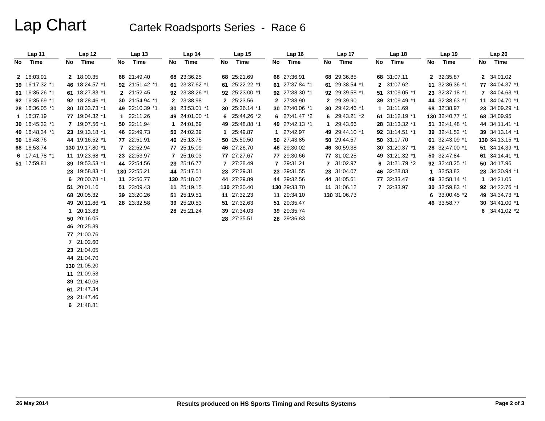# Lap Chart Cartek Roadsports Series - Race 6

|    | Lap 11         | Lap <sub>12</sub> |    | Lap <sub>13</sub> |    | Lap 14         |    | Lap <sub>15</sub> |    | Lap <sub>16</sub> |    | Lap 17         |    | Lap 18         |    | Lap 19          |    | Lap 20          |
|----|----------------|-------------------|----|-------------------|----|----------------|----|-------------------|----|-------------------|----|----------------|----|----------------|----|-----------------|----|-----------------|
| No | Time           | No Time           | No | Time              | No | Time           | No | Time              | No | Time              | No | Time           | No | Time           | No | Time            | No | Time            |
|    | 2 16:03.91     | 2 18:00.35        |    | 68 21:49.40       |    | 68 23:36.25    |    | 68 25:21.69       |    | 68 27:36.91       |    | 68 29:36.85    |    | 68 31:07.11    |    | 2 32:35.87      |    | 2 34:01.02      |
|    | 39 16:17.32 *1 | 46 18:24.57 *1    |    | 92 21:51.42 *1    |    | 61 23:37.62 *1 |    | 61 25:22.22 *1    |    | 61 27:37.84 *1    |    | 61 29:38.54 *1 |    | 2 31:07.62     |    | 11 32:36.36 *1  |    | 77 34:04.37 *1  |
|    |                |                   |    |                   |    |                |    |                   |    |                   |    |                |    |                |    |                 |    |                 |
|    | 61 16:35.26 *1 | 61 18:27.83 *1    |    | 2 21:52.45        |    | 92 23:38.26 *1 |    | 92 25:23.00 *1    |    | 92 27:38.30 *1    |    | 92 29:39.58 *1 |    | 51 31:09.05 *1 |    | 23 32:37.18 *1  |    | 7 34:04.63 *1   |
|    | 92 16:35.69 *1 | 92 18:28.46 *1    |    | 30 21:54.94 *1    |    | 2 23:38.98     |    | 2 25:23.56        |    | 2 27:38.90        |    | 2 29:39.90     |    | 39 31:09.49 *1 |    | 44 32:38.63 *1  |    | 11 34:04.70 *1  |
|    | 28 16:36.05 *1 | 30 18:33.73 *1    |    | 49 22:10.39 *1    |    | 30 23:53.01 *1 |    | 30 25:36.14 *1    |    | 30 27:40.06 *1    |    | 30 29:42.46 *1 |    | 1 31:11.69     |    | 68 32:38.97     |    | 23 34:09.29 *1  |
|    | 1 16:37.19     | 77 19:04.32 *1    |    | 1 22:11.26        |    | 49 24:01.00 *1 |    | 6 25:44.26 *2     |    | 6 $27:41.47*2$    |    | 6 29:43.21 *2  |    | 61 31:12.19 *1 |    | 130 32:40.77 *1 |    | 68 34:09.95     |
|    | 30 16:45.32 *1 | 7 19:07.56 *1     |    | 50 22:11.94       |    | 1 24:01.69     |    | 49 25:48.88 *1    |    | 49 27:42.13 *1    |    | 1 29:43.66     |    | 28 31:13.32 *1 |    | 51 32:41.48 *1  |    | 44 34:11.41 *1  |
|    | 49 16:48.34 *1 | 23 19:13.18 *1    |    | 46 22:49.73       |    | 50 24:02.39    |    | 1 25:49.87        |    | 1 27:42.97        |    | 49 29:44.10 *1 |    | 92 31:14.51 *1 |    | 39 32:41.52 *1  |    | 39 34:13.14 *1  |
|    | 50 16:48.76    | 44 19:16.52 *1    |    | 77 22:51.91       |    | 46 25:13.75    |    | 50 25:50.50       |    | 50 27:43.85       |    | 50 29:44.57    |    | 50 31:17.70    |    | 61 32:43.09 *1  |    | 130 34:13.15 *1 |
|    | 68 16:53.74    | 130 19:17.80 *1   |    | 7 22:52.94        |    | 77 25:15.09    |    | 46 27:26.70       |    | 46 29:30.02       |    | 46 30:59.38    |    | 30 31:20.37 *1 |    | 28 32:47.00 *1  |    | 51 34:14.39 *1  |
|    | 6 17:41.78 *1  | 11 19:23.68 *1    |    | 23 22:53.97       |    | 7 25:16.03     |    | 77 27:27.67       |    | 77 29:30.66       |    | 77 31:02.25    |    | 49 31:21.32 *1 |    | 50 32:47.84     |    | 61 34:14.41 *1  |
|    | 51 17:59.81    | 39 19:53.53 *1    |    | 44 22:54.56       |    | 23 25:16.77    |    | 7 27:28.49        |    | 7 29:31.21        |    | 7 31:02.97     |    | 6 31:21.79 *2  |    | 92 32:48.25 *1  |    | 50 34:17.96     |
|    |                | 28 19:58.83 *1    |    | 130 22:55.21      |    | 44 25:17.51    |    | 23 27:29.31       |    | 23 29:31.55       |    | 23 31:04.07    |    | 46 32:28.83    |    | 1 32:53.82      |    | 28 34:20.94 *1  |
|    |                | 6 $20:00.78$ *1   |    | 11 22:56.77       |    | 130 25:18.07   |    | 44 27:29.89       |    | 44 29:32.56       |    | 44 31:05.61    |    | 77 32:33.47    |    | 49 32:58.14 *1  |    | 1 34:21.05      |
|    |                | 51 20:01.16       |    | 51 23:09.43       |    | 11 25:19.15    |    | 130 27:30.40      |    | 130 29:33.70      |    | 11 31:06.12    |    | 7 32:33.97     |    | 30 32:59.83 *1  |    | 92 34:22.76 *1  |
|    |                | 68 20:05.32       |    | 39 23:20.26       |    | 51 25:19.51    |    | 11 27:32.23       |    | 11 29:34.10       |    | 130 31:06.73   |    |                | 6  | 33:00.45 *2     |    | 49 34:34.73 *1  |
|    |                | 49 20:11.86 *1    |    | 28 23:32.58       |    | 39 25:20.53    |    | 51 27:32.63       |    | 51 29:35.47       |    |                |    |                |    | 46 33:58.77     |    | 30 34:41.00 *1  |
|    |                | 1 20:13.83        |    |                   |    | 28 25:21.24    |    | 39 27:34.03       |    | 39 29:35.74       |    |                |    |                |    |                 |    | 6 $34:41.02*2$  |
|    |                | 50 20:16.05       |    |                   |    |                |    | 28 27:35.51       |    | 28 29:36.83       |    |                |    |                |    |                 |    |                 |
|    |                | 46 20:25.39       |    |                   |    |                |    |                   |    |                   |    |                |    |                |    |                 |    |                 |
|    |                | 77 21:00.76       |    |                   |    |                |    |                   |    |                   |    |                |    |                |    |                 |    |                 |
|    |                | 7 21:02.60        |    |                   |    |                |    |                   |    |                   |    |                |    |                |    |                 |    |                 |
|    |                | 23 21:04.05       |    |                   |    |                |    |                   |    |                   |    |                |    |                |    |                 |    |                 |
|    |                | 44 21:04.70       |    |                   |    |                |    |                   |    |                   |    |                |    |                |    |                 |    |                 |
|    |                | 130 21:05.20      |    |                   |    |                |    |                   |    |                   |    |                |    |                |    |                 |    |                 |
|    |                | 11 21:09.53       |    |                   |    |                |    |                   |    |                   |    |                |    |                |    |                 |    |                 |
|    |                | 39 21:40.06       |    |                   |    |                |    |                   |    |                   |    |                |    |                |    |                 |    |                 |
|    |                | 61 21:47.34       |    |                   |    |                |    |                   |    |                   |    |                |    |                |    |                 |    |                 |
|    |                | 28 21:47.46       |    |                   |    |                |    |                   |    |                   |    |                |    |                |    |                 |    |                 |
|    |                | 6 21:48.81        |    |                   |    |                |    |                   |    |                   |    |                |    |                |    |                 |    |                 |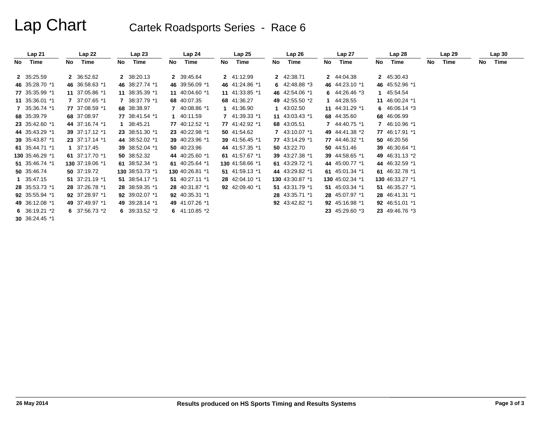# Lap Chart Cartek Roadsports Series - Race 6

|    | Lap 21          |           | Lap22           |    | Lap <sub>23</sub> |    | Lap24           |    | Lap25           |    | Lap26           |      | Lap 27           |    | Lap28           |     | Lap 29 |    | Lap30 |
|----|-----------------|-----------|-----------------|----|-------------------|----|-----------------|----|-----------------|----|-----------------|------|------------------|----|-----------------|-----|--------|----|-------|
| No | Time            | <b>No</b> | Time            | No | Time              | No | Time            | No | Time            | No | Time            | No l | Time             | No | Time            | No. | Time   | No | Time  |
|    | 2 35:25.59      |           | 2 36:52.62      |    | 2 38:20.13        |    | 2 39:45.64      |    | 2 41:12.99      |    | 2 42:38.71      |      | 2 44:04.38       |    | 2 45:30.43      |     |        |    |       |
|    | 46 35:28.70 *1  |           | 46 36:58.63 *1  |    | 46 38:27.74 *1    |    | 46 39:56.09 *1  |    | 46 41:24.86 *1  |    | 6 $42:48.88*3$  |      | 46 44:23.10 *1   |    | 46 45:52.96 *1  |     |        |    |       |
|    | 77 35:35.99 *1  |           | 11 37:05.86 *1  |    | 11 38:35.39 *1    |    | 11 40:04.60 *1  |    | 11 41:33.85 *1  |    | 46 42:54.06 *1  |      | 6 $44:26.46*3$   |    | 1 45:54.54      |     |        |    |       |
|    | 11 35:36.01 *1  |           | 7 37:07.65 *1   |    | 7 38:37.79 *1     |    | 68 40:07.35     |    | 68 41:36.27     |    | 49 42:55.50 *2  |      | 1 44:28.55       |    | 11 46:00.24 *1  |     |        |    |       |
|    | 7 35:36.74 *1   |           | 77 37:08.59 *1  |    | 68 38:38.97       |    | 7 40:08.86 *1   |    | 1 41:36.90      |    | 1 43:02.50      |      | 11 44:31.29 *1   |    | 6 $46:06.14*3$  |     |        |    |       |
|    | 68 35:39.79     |           | 68 37:08.97     |    | 77 38:41.54 *1    |    | 1 40:11.59      |    | 7 41:39.33 *1   |    | 11 43:03.43 *1  |      | 68 44:35.60      |    | 68 46:06.99     |     |        |    |       |
|    | 23 35:42.60 *1  |           | 44 37:16.74 *1  |    | 1 38:45.21        |    | 77 40:12.52 *1  |    | 77 41:42.92 *1  |    | 68 43:05.51     |      | 7 44:40.75 *1    |    | 7 46:10.96 *1   |     |        |    |       |
|    | 44 35:43.29 *1  |           | 39 37:17.12 *1  |    | 23 38:51.30 *1    |    | 23 40:22.98 *1  |    | 50 41:54.62     |    | 7 43:10.07 *1   |      | 49 44:41.38 *2   |    | 77 46:17.91 *1  |     |        |    |       |
|    | 39 35:43.87 *1  |           | 23 37:17.14 *1  |    | 44 38:52.02 *1    |    | 39 40:23.96 *1  |    | 39 41:56.45 *1  |    | 77 43:14.29 *1  |      | 77 44:46.32 *1   |    | 50 46:20.56     |     |        |    |       |
|    | 61 35:44.71 *1  |           | 1 37:17.45      |    | 39 38:52.04 *1    |    | 50 40:23.96     |    | 44 41:57.35 *1  |    | 50 43:22.70     |      | 50 44:51.46      |    | 39 46:30.64 *1  |     |        |    |       |
|    | 130 35:46.29 *1 |           | 61 37:17.70 *1  |    | 50 38:52.32       |    | 44 40:25.60 *1  |    | 61 41:57.67 *1  |    | 39 43:27.38 *1  |      | 39 44:58.65 *1   |    | 49 46:31.13 *2  |     |        |    |       |
|    | 51 35:46.74 *1  |           | 130 37:19.06 *1 |    | 61 38:52.34 *1    |    | 61 40:25.64 *1  |    | 130 41:58.66 *1 |    | 61 43:29.72 *1  |      | 44 45:00.77 *1   |    | 44 46:32.59 *1  |     |        |    |       |
|    | 50 35:46.74     |           | 50 37:19.72     |    | 130 38:53.73 *1   |    | 130 40:26.81 *1 |    | 51 41:59.13 *1  |    | 44 43:29.82 *1  |      | 61 $45:01.34$ *1 |    | 61 46:32.78 *1  |     |        |    |       |
|    | 1 35:47.15      |           | 51 37:21.19 *1  |    | 51 38:54.17 *1    |    | 51 40:27.11 *1  |    | 28 42:04.10 *1  |    | 130 43:30.87 *1 |      | 130 45:02.34 *1  |    | 130 46:33.27 *1 |     |        |    |       |
|    | 28 35:53.73 *1  |           | 28 37:26.78 *1  |    | 28 38:59.35 *1    |    | 28 40:31.87 *1  |    | 92 42:09.40 *1  |    | 51 43:31.79 *1  |      | 51 45:03.34 *1   |    | 51 46:35.27 *1  |     |        |    |       |
|    | 92 35:55.94 *1  |           | 92 37:28.97 *1  |    | 92 39:02.07 *1    |    | 92 40:35.31 *1  |    |                 |    | 28 43:35.71 *1  |      | 28 45:07.97 *1   |    | 28 46:41.31 *1  |     |        |    |       |
|    | 49 36:12.08 *1  |           | 49 37:49.97 *1  |    | 49 39:28.14 *1    |    | 49 41:07.26 *1  |    |                 |    | 92 43:42.82 *1  |      | 92 45:16.98 *1   |    | 92 46:51.01 *1  |     |        |    |       |
|    | 6 $36:19.21 *2$ |           | 6 $37:56.73*2$  |    | 6 $39:33.52*2$    |    | 6 $41:10.85 *2$ |    |                 |    |                 |      | 23 45:29.60 *3   |    | 23 49:46.76 *3  |     |        |    |       |
|    | 30 36:24.45 *1  |           |                 |    |                   |    |                 |    |                 |    |                 |      |                  |    |                 |     |        |    |       |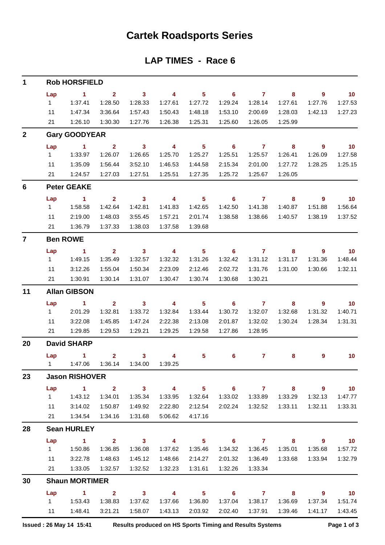### **Cartek Roadsports Series**

### **LAP TIMES - Race 6**

| $\mathbf 1$             |           | <b>Rob HORSFIELD</b>            |                         |                                     |                         |                            |                            |                             |                         |                          |                             |
|-------------------------|-----------|---------------------------------|-------------------------|-------------------------------------|-------------------------|----------------------------|----------------------------|-----------------------------|-------------------------|--------------------------|-----------------------------|
|                         | Lap       | $\overline{1}$ $\overline{2}$   |                         | $\overline{\mathbf{3}}$             | $\overline{\mathbf{4}}$ | $\overline{\phantom{0}}$ 5 |                            | $6 \overline{7}$            | $\overline{\mathbf{8}}$ | $\overline{\phantom{a}}$ | $\overline{10}$             |
|                         | $1 \quad$ | 1:37.41                         | 1:28.50                 | 1:28.33                             | 1:27.61                 | 1:27.72                    | 1:29.24                    | 1:28.14                     | 1:27.61                 | 1:27.76                  | 1:27.53                     |
|                         | 11        | 1:47.34                         | 3:36.64                 | 1:57.43                             | 1:50.43                 | 1:48.18                    | 1:53.10                    | 2:00.69                     | 1:28.03                 | 1:42.13                  | 1:27.23                     |
|                         | 21        | 1:26.10                         | 1:30.30                 | 1:27.76                             | 1:26.38                 | 1:25.31                    | 1:25.60                    | 1:26.05                     | 1:25.99                 |                          |                             |
| $\mathbf{2}$            |           | <b>Gary GOODYEAR</b>            |                         |                                     |                         |                            |                            |                             |                         |                          |                             |
|                         | Lap       | $\overline{1}$                  | $\overline{\mathbf{2}}$ | $\overline{\mathbf{3}}$             | $\overline{\mathbf{4}}$ | $\overline{\phantom{0}}$ 5 | $\overline{\phantom{0}}$ 6 | $\overline{7}$              | $\overline{\mathbf{8}}$ | $\overline{\phantom{a}}$ | $\blacksquare$ 10           |
|                         | $1 \quad$ | 1:33.97                         | 1:26.07                 | 1:26.65                             | 1:25.70                 | 1:25.27                    | 1:25.51                    | 1:25.57                     | 1:26.41                 | 1:26.09                  | 1:27.58                     |
|                         | 11        | 1:35.09                         | 1:56.44                 | 3:52.10                             | 1:46.53                 | 1:44.58                    | 2:15.34                    | 2:01.00                     | 1:27.72                 | 1:28.25                  | 1:25.15                     |
|                         |           | 21   1:24.57                    | 1:27.03                 | 1:27.51                             | 1:25.51                 | 1:27.35                    | 1:25.72                    | 1:25.67                     | 1:26.05                 |                          |                             |
| 6                       |           | <b>Peter GEAKE</b>              |                         |                                     |                         |                            |                            |                             |                         |                          |                             |
|                         | Lap       | $\sim$ 1                        | $\overline{\mathbf{2}}$ | $\overline{\mathbf{3}}$             | $\overline{\mathbf{4}}$ | $\overline{\phantom{0}}$ 5 | $\overline{\phantom{a}}$ 6 | $7 \t 8$                    |                         | $\overline{\phantom{a}}$ | $\overline{10}$             |
|                         | $1 \quad$ | 1:58.58                         | 1:42.64                 | 1:42.81                             | 1:41.83                 | 1:42.65                    | 1:42.50                    | 1:41.38                     | 1:40.87                 | 1:51.88                  | 1:56.64                     |
|                         | 11        | 2:19.00                         | 1:48.03                 | 3:55.45                             | 1:57.21                 | 2:01.74                    | 1:38.58                    | 1:38.66                     | 1:40.57                 | 1:38.19                  | 1:37.52                     |
|                         | 21        | 1:36.79                         | 1:37.33                 | 1:38.03                             | 1:37.58                 | 1:39.68                    |                            |                             |                         |                          |                             |
| $\overline{\mathbf{z}}$ |           | <b>Ben ROWE</b>                 |                         |                                     |                         |                            |                            |                             |                         |                          |                             |
|                         | Lap       | $\sim$ 1                        | $\overline{2}$          | $\overline{\mathbf{3}}$             | $\overline{\mathbf{4}}$ | $\overline{\phantom{0}}$ 5 | 6                          | $\overline{7}$              | 8                       | 9                        | $\overline{10}$             |
|                         | $1 \quad$ | 1:49.15                         | 1:35.49                 | 1:32.57                             | 1:32.32                 | 1:31.26                    | 1:32.42                    | 1:31.12                     | 1:31.17                 | 1:31.36                  | 1:48.44                     |
|                         | 11        | 3:12.26                         | 1:55.04                 | 1:50.34                             | 2:23.09                 | 2:12.46                    | 2:02.72                    | 1:31.76                     | 1:31.00                 | 1:30.66                  | 1:32.11                     |
|                         | 21        | 1:30.91                         | 1:30.14                 | 1:31.07                             | 1:30.47                 | 1:30.74                    | 1:30.68                    | 1:30.21                     |                         |                          |                             |
| 11                      |           | <b>Allan GIBSON</b>             |                         |                                     |                         |                            |                            |                             |                         |                          |                             |
|                         | Lap       | $\sim$ 1                        | $\overline{2}$          | $\overline{\mathbf{3}}$             | $\overline{4}$          | $\overline{\phantom{0}}$ 5 | $6 \t 7$                   |                             | $\overline{\mathbf{8}}$ | $\overline{\phantom{a}}$ | $\overline{\mathbf{10}}$    |
|                         | $1 \quad$ | 2:01.29                         | 1:32.81                 | 1:33.72                             | 1:32.84                 | 1:33.44                    | 1:30.72                    | 1:32.07                     | 1:32.68                 | 1:31.32                  | 1:40.71                     |
|                         | 11        | 3:22.08                         | 1:45.85                 | 1:47.24                             | 2:22.38                 | 2:13.08                    | 2:01.87                    | 1:32.02                     | 1:30.24                 | 1:28.34                  | 1:31.31                     |
|                         |           | 21 1:29.85                      | 1:29.53                 | 1:29.21                             | 1:29.25                 | 1:29.58                    | 1:27.86                    | 1:28.95                     |                         |                          |                             |
| 20                      |           | <b>David SHARP</b>              |                         |                                     |                         |                            |                            |                             |                         |                          |                             |
|                         |           | $Lap$ 1                         |                         | $2 \qquad \qquad 3 \qquad \qquad 4$ |                         | 5                          | 6                          | $\sim$ $\sim$ $\sim$ $\sim$ | 8.                      | 9                        | 10                          |
|                         |           | 1   1:47.06   1:36.14   1:34.00 |                         |                                     | 1:39.25                 |                            |                            |                             |                         |                          |                             |
| 23                      |           | <b>Jason RISHOVER</b>           |                         |                                     |                         |                            |                            |                             |                         |                          |                             |
|                         | Lap       | $\sim$ 1                        | $\overline{2}$          | $\overline{\mathbf{3}}$             | $\overline{4}$          | $\overline{\phantom{0}}$ 5 | $\overline{\phantom{0}}$ 6 | $\overline{7}$              | 8                       | $\overline{\phantom{a}}$ | $\overline{10}$             |
|                         | $1 \quad$ | 1:43.12                         | 1:34.01                 | 1:35.34                             | 1:33.95                 | 1:32.64                    | 1:33.02                    | 1:33.89                     | 1:33.29                 | 1:32.13                  | 1:47.77                     |
|                         | 11        | 3:14.02                         | 1:50.87                 | 1:49.92                             | 2:22.80                 | 2:12.54                    | 2:02.24                    | 1:32.52                     | 1:33.11                 | 1:32.11                  | 1:33.31                     |
|                         | 21        |                                 |                         | 1:31.68                             | 5:06.62                 | 4:17.16                    |                            |                             |                         |                          |                             |
| 28                      |           | <b>Sean HURLEY</b>              |                         |                                     |                         |                            |                            |                             |                         |                          |                             |
|                         | Lap       | $\sim$ 1                        | $\overline{\mathbf{2}}$ | $\overline{\mathbf{3}}$             | $\overline{4}$          | $\overline{\phantom{0}}$ 5 | $\overline{\phantom{0}}$ 6 | $\overline{7}$              | $\overline{\mathbf{8}}$ | $\overline{\phantom{a}}$ | $\overline{\mathbf{10}}$    |
|                         | $1 \quad$ | 1:50.86                         | 1:36.85                 | 1:36.08                             | 1:37.62                 | 1:35.46                    | 1:34.32                    | 1:36.45                     | 1:35.01                 | 1:35.68                  | 1:57.72                     |
|                         | 11        | 3:22.78                         | 1:48.63                 | 1:45.12                             | 1:48.66                 | 2:14.27                    | 2:01.32                    | 1:36.49                     | 1:33.68                 | 1:33.94                  | 1:32.79                     |
|                         | 21        | 1:33.05                         | 1:32.57                 | 1:32.52                             | 1:32.23                 | 1:31.61                    | 1:32.26                    | 1:33.34                     |                         |                          |                             |
| 30                      |           | <b>Shaun MORTIMER</b>           |                         |                                     |                         |                            |                            |                             |                         |                          |                             |
|                         | Lap       | $\sim$ 1                        | $\overline{\mathbf{2}}$ | $\sim$ 3                            | $\overline{4}$          | $\overline{\phantom{1}}$ 5 |                            | $6\qquad 7$                 | $\overline{\mathbf{8}}$ | - 9                      | $\overline{\phantom{0}}$ 10 |
|                         |           |                                 | 1:38.83                 | 1:37.62                             | 1:37.66                 | 1:36.80                    | 1:37.04                    | 1:38.17                     | 1:36.69                 | 1:37.34                  | 1:51.74                     |
|                         | $11 -$    | 1:48.41                         | 3:21.21                 | 1:58.07                             | 1:43.13                 | 2:03.92                    | 2:02.40                    | 1:37.91                     | 1:39.46                 | 1:41.17                  | 1:43.45                     |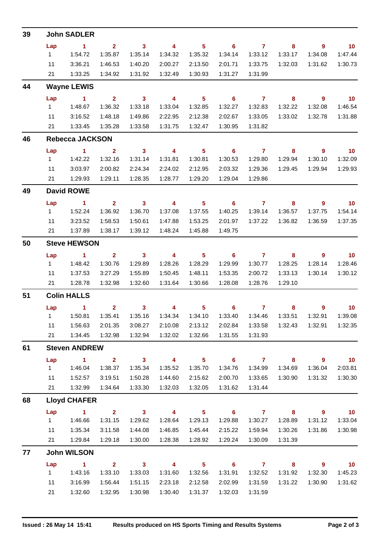| 39 |           | <b>John SADLER</b>     |                         |                         |                         |                            |                            |                         |                            |                |                 |
|----|-----------|------------------------|-------------------------|-------------------------|-------------------------|----------------------------|----------------------------|-------------------------|----------------------------|----------------|-----------------|
|    | Lap       | $\sim$ 1               | $2^{\circ}$             | $\overline{\mathbf{3}}$ | $\overline{4}$          | $\overline{\phantom{1}}$ 5 | $\overline{\phantom{a}}$ 6 | $\overline{7}$          | 8                          | $9^{\circ}$    | $\overline{10}$ |
|    | $1 \quad$ | 1:54.72                | 1:35.87                 | 1:35.14                 | 1:34.32                 | 1:35.32                    | 1:34.14                    | 1:33.12                 | 1:33.17                    | 1:34.08        | 1:47.44         |
|    | 11        | 3:36.21                | 1:46.53                 | 1:40.20                 | 2:00.27                 | 2:13.50                    | 2:01.71                    | 1:33.75                 | 1:32.03                    | 1:31.62        | 1:30.73         |
|    | 21        | 1:33.25                | 1:34.92                 | 1:31.92                 | 1:32.49                 | 1:30.93                    | 1:31.27                    | 1:31.99                 |                            |                |                 |
| 44 |           | <b>Wayne LEWIS</b>     |                         |                         |                         |                            |                            |                         |                            |                |                 |
|    | Lap       | $\sim$ 1               | $\overline{\mathbf{2}}$ | $\overline{\mathbf{3}}$ | $\overline{4}$          | $\overline{\phantom{0}}$ 5 | $\overline{\phantom{0}}$ 6 | $\overline{7}$          | $\overline{\phantom{a}}$ 8 | $9^{\circ}$    | $\overline{10}$ |
|    | $1 \quad$ | 1:48.67                | 1:36.32                 | 1:33.18                 | 1:33.04                 | 1:32.85                    | 1:32.27                    | 1:32.83                 | 1:32.22                    | 1:32.08        | 1:46.54         |
|    | 11        | 3:16.52                | 1:48.18                 | 1:49.86                 | 2:22.95                 | 2:12.38                    | 2:02.67                    | 1:33.05                 | 1:33.02                    | 1:32.78        | 1:31.88         |
|    | 21        | 1:33.45                | 1:35.28                 | 1:33.58                 | 1:31.75                 | 1:32.47                    | 1:30.95                    | 1:31.82                 |                            |                |                 |
| 46 |           | <b>Rebecca JACKSON</b> |                         |                         |                         |                            |                            |                         |                            |                |                 |
|    | Lap       | $\sim$ 1               | $\mathbf{2}$            | $\overline{\mathbf{3}}$ | $\overline{4}$          | 5 <sub>5</sub>             | $\overline{\phantom{0}}$ 6 | $\overline{7}$          | 8                          | $\overline{9}$ | $\overline{10}$ |
|    | 1         | 1:42.22                | 1:32.16                 | 1:31.14                 | 1:31.81                 | 1:30.81                    | 1:30.53                    | 1:29.80                 | 1:29.94                    | 1:30.10        | 1:32.09         |
|    | 11        | 3:03.97                | 2:00.82                 | 2:24.34                 | 2:24.02                 | 2:12.95                    | 2:03.32                    | 1:29.36                 | 1:29.45                    | 1:29.94        | 1:29.93         |
|    | 21        | 1:29.93                | 1:29.11                 | 1:28.35                 | 1:28.77                 | 1:29.20                    | 1:29.04                    | 1:29.86                 |                            |                |                 |
| 49 |           | <b>David ROWE</b>      |                         |                         |                         |                            |                            |                         |                            |                |                 |
|    | Lap       | $\sim$ 1               | 2 <sup>7</sup>          | $\overline{\mathbf{3}}$ | $\overline{4}$          | 5 <sup>1</sup>             | $\overline{\phantom{0}}$ 6 | $\overline{7}$          | 8                          | $9^{\circ}$    | $\overline{10}$ |
|    | 1         | 1:52.24                | 1:36.92                 | 1:36.70                 | 1:37.08                 | 1:37.55                    | 1:40.25                    | 1:39.14                 | 1:36.57                    | 1:37.75        | 1:54.14         |
|    | 11        | 3:23.52                | 1:58.53                 | 1:50.61                 | 1:47.88                 | 1:53.25                    | 2:01.97                    | 1:37.22                 | 1:36.82                    | 1:36.59        | 1:37.35         |
|    | 21        | 1:37.89                | 1:38.17                 | 1:39.12                 | 1:48.24                 | 1:45.88                    | 1:49.75                    |                         |                            |                |                 |
| 50 |           | <b>Steve HEWSON</b>    |                         |                         |                         |                            |                            |                         |                            |                |                 |
|    | Lap       | $\blacksquare$ 1       | $\overline{2}$          | $\overline{\mathbf{3}}$ | $\overline{4}$          | 5 <sub>5</sub>             | $\overline{\phantom{0}}$ 6 | $\overline{7}$          | 8                          | - 9            | $\overline{10}$ |
|    | 1         | 1:48.42                | 1:30.76                 | 1:29.89                 | 1:28.26                 | 1:28.29                    | 1:29.99                    | 1:30.77                 | 1:28.25                    | 1:28.14        | 1:28.46         |
|    | 11        | 1:37.53                | 3:27.29                 | 1:55.89                 | 1:50.45                 | 1:48.11                    | 1:53.35                    | 2:00.72                 | 1:33.13                    | 1:30.14        | 1:30.12         |
|    | 21        | 1:28.78                | 1:32.98                 | 1:32.60                 | 1:31.64                 | 1:30.66                    | 1:28.08                    | 1:28.76                 | 1:29.10                    |                |                 |
| 51 |           | <b>Colin HALLS</b>     |                         |                         |                         |                            |                            |                         |                            |                |                 |
|    | Lap       | $\sim$ $\sim$ 1        | $\overline{\mathbf{2}}$ | $\sim$ 3                | $\overline{4}$          | 5 <sub>5</sub>             | $\overline{\phantom{a}}$ 6 | $\overline{7}$          | 8                          | 9              | $\overline{10}$ |
|    |           | 1.50.81                | 1:35.41                 | 1:35.16                 | 1:34.34                 | 1:34.10                    | 1:33.40                    | 1:34.46                 | 1:33.51                    | 1:32.91        | 1:39.08         |
|    | 11        | 1:56.63                | 2:01.35                 | 3:08.27                 | 2:10.08                 | 2:13.12                    | 2:02.84                    | 1:33.58                 | 1:32.43                    | 1:32.91        | 1:32.35         |
|    | 21        | 1:34.45                | 1:32.98                 | 1:32.94                 | 1:32.02                 | 1:32.66                    | 1:31.55                    | 1:31.93                 |                            |                |                 |
| 61 |           | <b>Steven ANDREW</b>   |                         |                         |                         |                            |                            |                         |                            |                |                 |
|    | Lap       | $\mathbf{1}$           | $\mathbf{2}$            | $\overline{\mathbf{3}}$ | $\overline{\mathbf{4}}$ | 5 <sub>5</sub>             | $\overline{\phantom{0}}$ 6 | $\overline{7}$          | 8                          | 9              | 10              |
|    | 1         | 1:46.04                | 1:38.37                 | 1:35.34                 | 1:35.52                 | 1:35.70                    | 1:34.76                    | 1:34.99                 | 1:34.69                    | 1:36.04        | 2:03.81         |
|    | 11        | 1:52.57                | 3:19.51                 | 1:50.28                 | 1:44.60                 | 2:15.62                    | 2:00.70                    | 1:33.65                 | 1:30.90                    | 1:31.32        | 1:30.30         |
|    | 21        | 1:32.99                | 1:34.64                 | 1:33.30                 | 1:32.03                 | 1:32.05                    | 1:31.62                    | 1:31.44                 |                            |                |                 |
| 68 |           | <b>Lloyd CHAFER</b>    |                         |                         |                         |                            |                            |                         |                            |                |                 |
|    | Lap       | $\blacksquare$ 1       | $\overline{2}$          | $\overline{\mathbf{3}}$ | $\overline{\mathbf{4}}$ | 5 <sup>5</sup>             | $\overline{\phantom{0}}$ 6 | $\overline{7}$          | 8                          | $9^{\circ}$    | 10              |
|    | $1 \quad$ | 1:46.66                | 1:31.15                 | 1:29.62                 | 1:28.64                 | 1:29.13                    | 1:29.88                    | 1:30.27                 | 1:28.89                    | 1:31.12        | 1:33.04         |
|    | 11        | 1:35.34                | 3:11.58                 | 1:44.08                 | 1:46.85                 | 1:45.44                    | 2:15.22                    | 1:59.94                 | 1:30.26                    | 1:31.86        | 1:30.98         |
|    | 21        | 1:29.84                | 1:29.18                 | 1:30.00                 | 1:28.38                 | 1:28.92                    | 1:29.24                    | 1:30.09                 | 1:31.39                    |                |                 |
| 77 |           | <b>John WILSON</b>     |                         |                         |                         |                            |                            |                         |                            |                |                 |
|    | Lap       | $\mathbf{1}$           | $\overline{2}$          | $\mathbf{3}$            | $\overline{\mathbf{4}}$ | 5 <sub>5</sub>             | $6\phantom{1}$             | $\overline{\mathbf{7}}$ | 8                          | 9              | 10              |
|    | 1         | 1:43.16                | 1:33.10                 | 1:33.03                 | 1:31.60                 | 1:32.56                    | 1:31.91                    | 1:32.52                 | 1:31.92                    | 1:32.30        | 1:45.23         |
|    | 11        | 3:16.99                | 1:56.44                 | 1:51.15                 | 2:23.18                 | 2:12.58                    | 2:02.99                    | 1:31.59                 | 1:31.22                    | 1:30.90        | 1:31.62         |
|    | 21        | 1:32.60                | 1:32.95                 | 1:30.98                 | 1:30.40                 | 1:31.37                    | 1:32.03                    | 1:31.59                 |                            |                |                 |